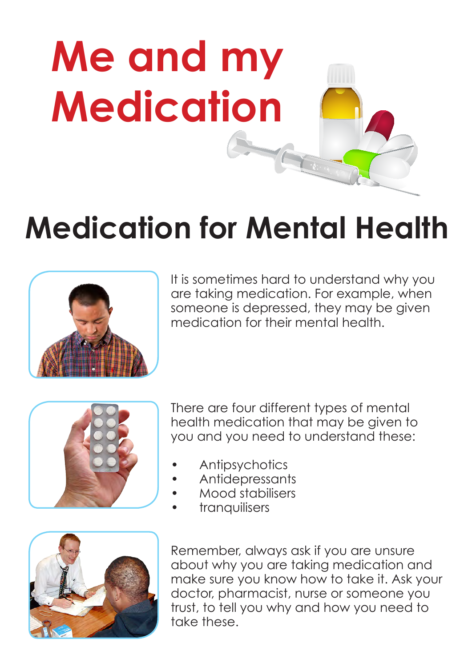

## **Medication for Mental Health**



It is sometimes hard to understand why you are taking medication. For example, when someone is depressed, they may be given medication for their mental health.



There are four different types of mental health medication that may be given to you and you need to understand these:

- **Antipsychotics**
- Antidepressants
- Mood stabilisers
- tranquilisers



Remember, always ask if you are unsure about why you are taking medication and make sure you know how to take it. Ask your doctor, pharmacist, nurse or someone you trust, to tell you why and how you need to take these.